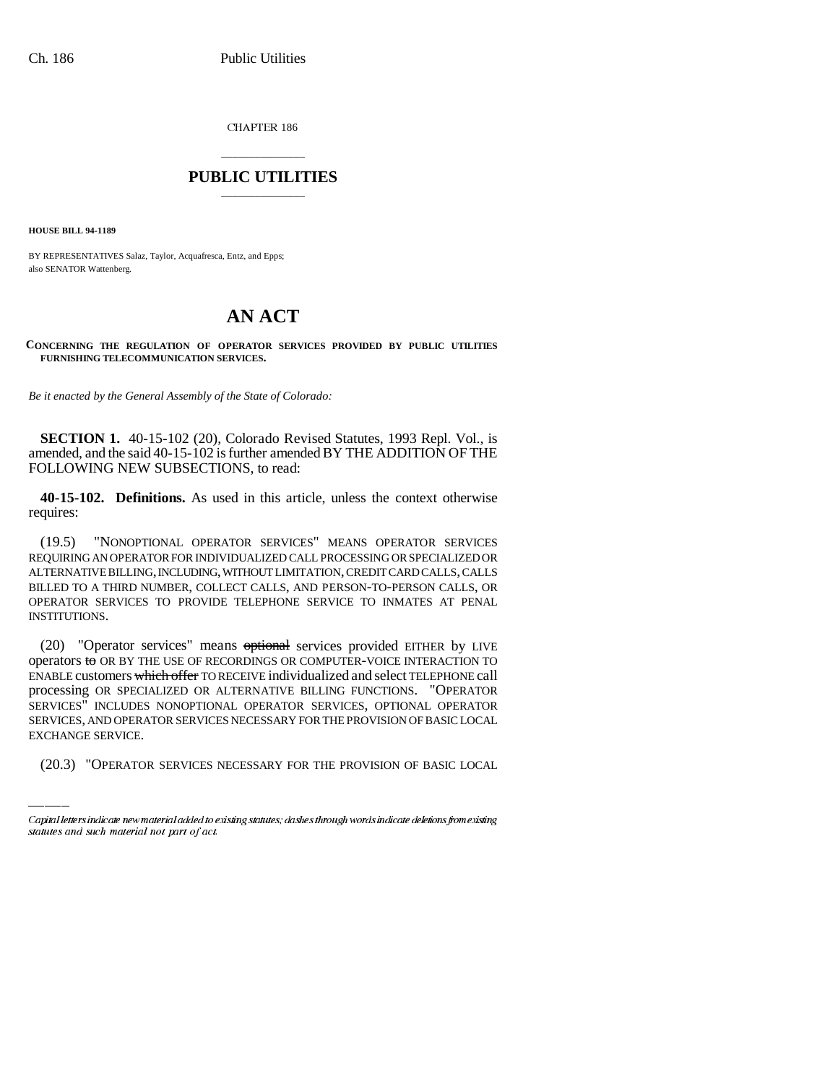CHAPTER 186

## \_\_\_\_\_\_\_\_\_\_\_\_\_\_\_ **PUBLIC UTILITIES** \_\_\_\_\_\_\_\_\_\_\_\_\_\_\_

**HOUSE BILL 94-1189**

BY REPRESENTATIVES Salaz, Taylor, Acquafresca, Entz, and Epps; also SENATOR Wattenberg.

## **AN ACT**

**CONCERNING THE REGULATION OF OPERATOR SERVICES PROVIDED BY PUBLIC UTILITIES FURNISHING TELECOMMUNICATION SERVICES.**

*Be it enacted by the General Assembly of the State of Colorado:*

**SECTION 1.** 40-15-102 (20), Colorado Revised Statutes, 1993 Repl. Vol., is amended, and the said 40-15-102 is further amended BY THE ADDITION OF THE FOLLOWING NEW SUBSECTIONS, to read:

**40-15-102. Definitions.** As used in this article, unless the context otherwise requires:

(19.5) "NONOPTIONAL OPERATOR SERVICES" MEANS OPERATOR SERVICES REQUIRING AN OPERATOR FOR INDIVIDUALIZED CALL PROCESSING OR SPECIALIZED OR ALTERNATIVE BILLING, INCLUDING, WITHOUT LIMITATION, CREDIT CARD CALLS, CALLS BILLED TO A THIRD NUMBER, COLLECT CALLS, AND PERSON-TO-PERSON CALLS, OR OPERATOR SERVICES TO PROVIDE TELEPHONE SERVICE TO INMATES AT PENAL INSTITUTIONS.

SERVICES" INCLUDES NONOPTIONAL OPERATOR SERVICES, OPTIONAL OPERATOR (20) "Operator services" means optional services provided EITHER by LIVE operators to OR BY THE USE OF RECORDINGS OR COMPUTER-VOICE INTERACTION TO ENABLE customers which offer TO RECEIVE individualized and select TELEPHONE call processing OR SPECIALIZED OR ALTERNATIVE BILLING FUNCTIONS. "OPERATOR SERVICES, AND OPERATOR SERVICES NECESSARY FOR THE PROVISION OF BASIC LOCAL EXCHANGE SERVICE.

(20.3) "OPERATOR SERVICES NECESSARY FOR THE PROVISION OF BASIC LOCAL

Capital letters indicate new material added to existing statutes; dashes through words indicate deletions from existing statutes and such material not part of act.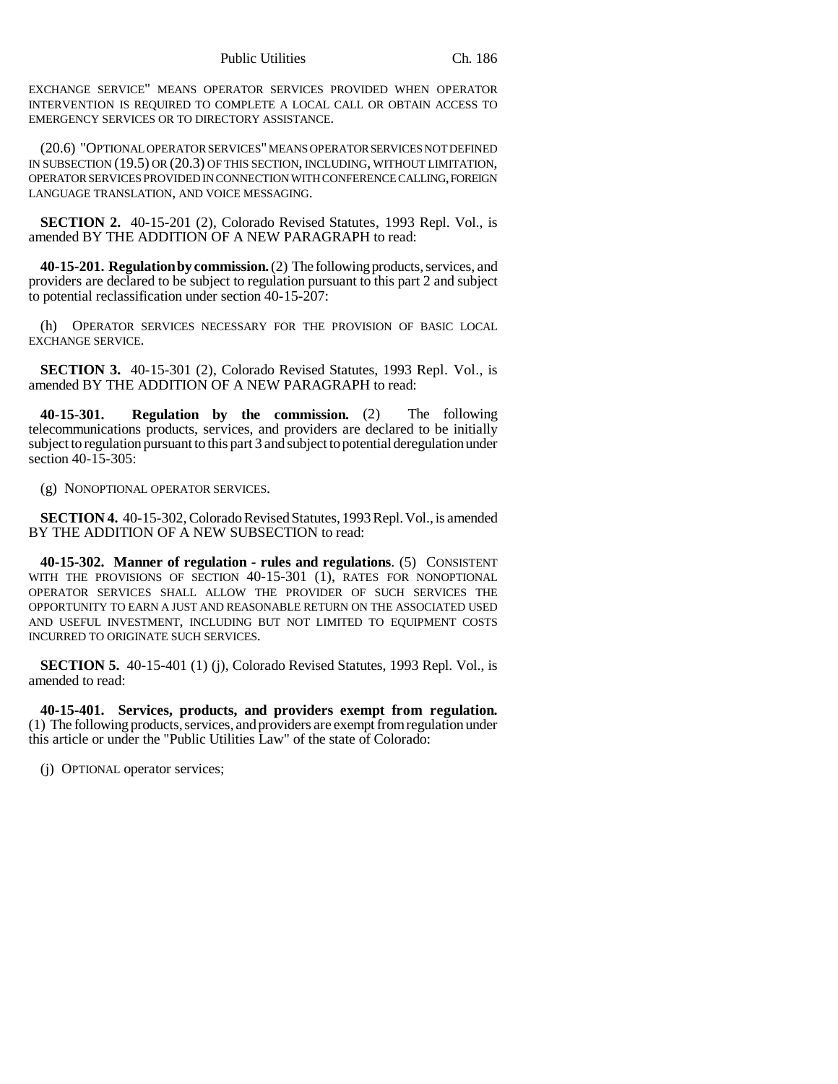EXCHANGE SERVICE" MEANS OPERATOR SERVICES PROVIDED WHEN OPERATOR INTERVENTION IS REQUIRED TO COMPLETE A LOCAL CALL OR OBTAIN ACCESS TO EMERGENCY SERVICES OR TO DIRECTORY ASSISTANCE.

(20.6) "OPTIONAL OPERATOR SERVICES" MEANS OPERATOR SERVICES NOT DEFINED IN SUBSECTION (19.5) OR (20.3) OF THIS SECTION, INCLUDING, WITHOUT LIMITATION, OPERATOR SERVICES PROVIDED IN CONNECTION WITH CONFERENCE CALLING, FOREIGN LANGUAGE TRANSLATION, AND VOICE MESSAGING.

**SECTION 2.** 40-15-201 (2), Colorado Revised Statutes, 1993 Repl. Vol., is amended BY THE ADDITION OF A NEW PARAGRAPH to read:

**40-15-201. Regulation by commission.** (2) The following products, services, and providers are declared to be subject to regulation pursuant to this part 2 and subject to potential reclassification under section 40-15-207:

(h) OPERATOR SERVICES NECESSARY FOR THE PROVISION OF BASIC LOCAL EXCHANGE SERVICE.

**SECTION 3.** 40-15-301 (2), Colorado Revised Statutes, 1993 Repl. Vol., is amended BY THE ADDITION OF A NEW PARAGRAPH to read:

**40-15-301. Regulation by the commission.** (2) The following telecommunications products, services, and providers are declared to be initially subject to regulation pursuant to this part 3 and subject to potential deregulation under section 40-15-305:

(g) NONOPTIONAL OPERATOR SERVICES.

**SECTION 4.** 40-15-302, Colorado Revised Statutes, 1993 Repl. Vol., is amended BY THE ADDITION OF A NEW SUBSECTION to read:

**40-15-302. Manner of regulation - rules and regulations**. (5) CONSISTENT WITH THE PROVISIONS OF SECTION 40-15-301 (1), RATES FOR NONOPTIONAL OPERATOR SERVICES SHALL ALLOW THE PROVIDER OF SUCH SERVICES THE OPPORTUNITY TO EARN A JUST AND REASONABLE RETURN ON THE ASSOCIATED USED AND USEFUL INVESTMENT, INCLUDING BUT NOT LIMITED TO EQUIPMENT COSTS INCURRED TO ORIGINATE SUCH SERVICES.

**SECTION 5.** 40-15-401 (1) (j), Colorado Revised Statutes, 1993 Repl. Vol., is amended to read:

**40-15-401. Services, products, and providers exempt from regulation.** (1) The following products, services, and providers are exempt from regulation under this article or under the "Public Utilities Law" of the state of Colorado:

(j) OPTIONAL operator services;